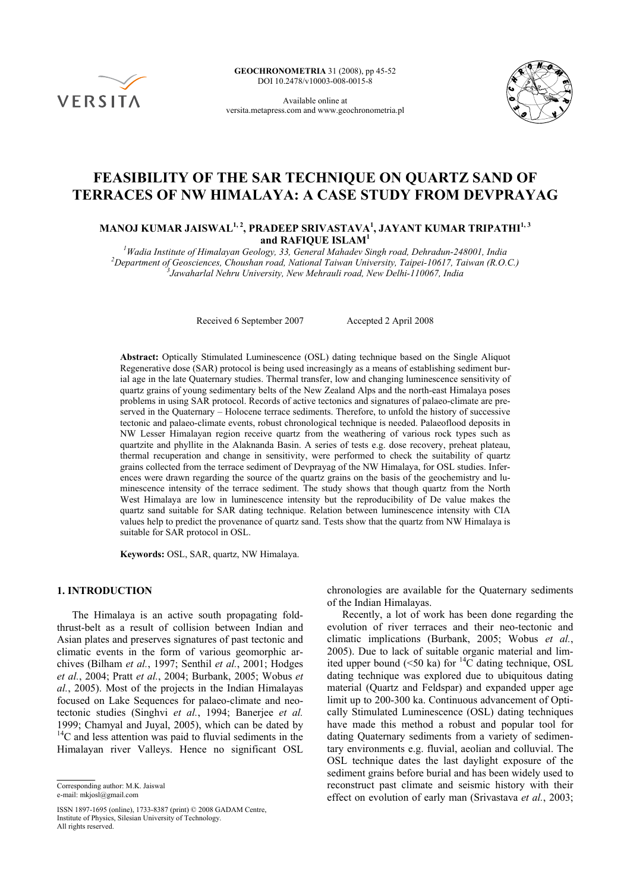

**GEOCHRONOMETRIA** 31 (2008), pp 45-52 DOI 10.2478/v10003-008-0015-8

Available online at versita.metapress.com and www.geochronometria.pl



# **FEASIBILITY OF THE SAR TECHNIQUE ON QUARTZ SAND OF TERRACES OF NW HIMALAYA: A CASE STUDY FROM DEVPRAYAG**

# MANOJ KUMAR JAISWAL<sup>1,2</sup>, PRADEEP SRIVASTAVA<sup>1</sup>, JAYANT KUMAR TRIPATHI<sup>1,3</sup> **and RAFIQUE ISLAM<sup>1</sup>**

<sup>1</sup> Wadia Institute of Himalayan Geology, 33, General Mahadev Singh road, Dehradun-248001, India <sup>2</sup> Denewtment of Geographics, Choushan nood, National Taiwan University, Taiwan (2004) <sup>2</sup>Department of Geosciences, Choushan road, National Taiwan University, Taipei-10617, Taiwan (R.O.C.) *Jawaharlal Nehru University, New Mehrauli road, New Delhi-110067, India* 

Received 6 September 2007 Accepted 2 April 2008

**Abstract:** Optically Stimulated Luminescence (OSL) dating technique based on the Single Aliquot Regenerative dose (SAR) protocol is being used increasingly as a means of establishing sediment burial age in the late Quaternary studies. Thermal transfer, low and changing luminescence sensitivity of quartz grains of young sedimentary belts of the New Zealand Alps and the north-east Himalaya poses problems in using SAR protocol. Records of active tectonics and signatures of palaeo-climate are preserved in the Quaternary – Holocene terrace sediments. Therefore, to unfold the history of successive tectonic and palaeo-climate events, robust chronological technique is needed. Palaeoflood deposits in NW Lesser Himalayan region receive quartz from the weathering of various rock types such as quartzite and phyllite in the Alaknanda Basin. A series of tests e.g. dose recovery, preheat plateau, thermal recuperation and change in sensitivity, were performed to check the suitability of quartz grains collected from the terrace sediment of Devprayag of the NW Himalaya, for OSL studies. Inferences were drawn regarding the source of the quartz grains on the basis of the geochemistry and luminescence intensity of the terrace sediment. The study shows that though quartz from the North West Himalaya are low in luminescence intensity but the reproducibility of De value makes the quartz sand suitable for SAR dating technique. Relation between luminescence intensity with CIA values help to predict the provenance of quartz sand. Tests show that the quartz from NW Himalaya is suitable for SAR protocol in OSL.

**Keywords:** OSL, SAR, quartz, NW Himalaya.

## **1. INTRODUCTION**

The Himalaya is an active south propagating foldthrust-belt as a result of collision between Indian and Asian plates and preserves signatures of past tectonic and climatic events in the form of various geomorphic archives (Bilham *et al.*, 1997; Senthil *et al.*, 2001; Hodges *et al.*, 2004; Pratt *et al.*, 2004; Burbank, 2005; Wobus *et al.*, 2005). Most of the projects in the Indian Himalayas focused on Lake Sequences for palaeo-climate and neotectonic studies (Singhvi *et al.*, 1994; Banerjee *et al.* 1999; Chamyal and Juyal, 2005), which can be dated by <sup>14</sup>C and less attention was paid to fluvial sediments in the Himalayan river Valleys. Hence no significant OSL

Corresponding author: M.K. Jaiswal e-mail: mkjosl@gmail.com

ISSN 1897-1695 (online), 1733-8387 (print) © 2008 GADAM Centre, Institute of Physics, Silesian University of Technology. All rights reserved.

chronologies are available for the Quaternary sediments of the Indian Himalayas.

Recently, a lot of work has been done regarding the evolution of river terraces and their neo-tectonic and climatic implications (Burbank, 2005; Wobus *et al.*, 2005). Due to lack of suitable organic material and limited upper bound (<50 ka) for  $^{14}$ C dating technique, OSL dating technique was explored due to ubiquitous dating material (Quartz and Feldspar) and expanded upper age limit up to 200-300 ka. Continuous advancement of Optically Stimulated Luminescence (OSL) dating techniques have made this method a robust and popular tool for dating Quaternary sediments from a variety of sedimentary environments e.g. fluvial, aeolian and colluvial. The OSL technique dates the last daylight exposure of the sediment grains before burial and has been widely used to reconstruct past climate and seismic history with their effect on evolution of early man (Srivastava *et al.*, 2003;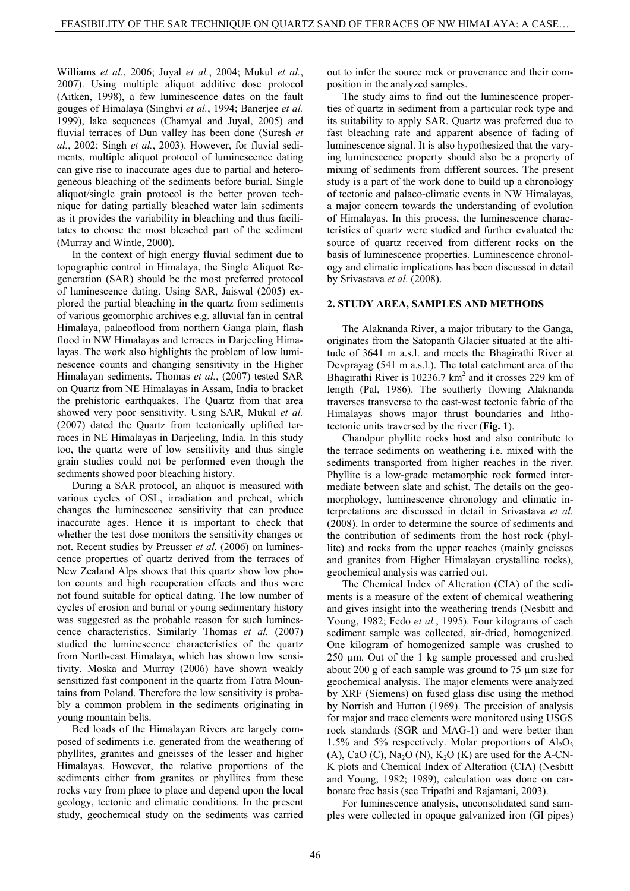Williams *et al.*, 2006; Juyal *et al.*, 2004; Mukul *et al.*, 2007). Using multiple aliquot additive dose protocol (Aitken, 1998), a few luminescence dates on the fault gouges of Himalaya (Singhvi *et al.*, 1994; Banerjee *et al.* 1999), lake sequences (Chamyal and Juyal, 2005) and fluvial terraces of Dun valley has been done (Suresh *et al.*, 2002; Singh *et al.*, 2003). However, for fluvial sediments, multiple aliquot protocol of luminescence dating can give rise to inaccurate ages due to partial and heterogeneous bleaching of the sediments before burial. Single aliquot/single grain protocol is the better proven technique for dating partially bleached water lain sediments as it provides the variability in bleaching and thus facilitates to choose the most bleached part of the sediment (Murray and Wintle, 2000).

In the context of high energy fluvial sediment due to topographic control in Himalaya, the Single Aliquot Regeneration (SAR) should be the most preferred protocol of luminescence dating. Using SAR, Jaiswal (2005) explored the partial bleaching in the quartz from sediments of various geomorphic archives e.g. alluvial fan in central Himalaya, palaeoflood from northern Ganga plain, flash flood in NW Himalayas and terraces in Darjeeling Himalayas. The work also highlights the problem of low luminescence counts and changing sensitivity in the Higher Himalayan sediments. Thomas *et al.*, (2007) tested SAR on Quartz from NE Himalayas in Assam, India to bracket the prehistoric earthquakes. The Quartz from that area showed very poor sensitivity. Using SAR, Mukul *et al.* (2007) dated the Quartz from tectonically uplifted terraces in NE Himalayas in Darjeeling, India. In this study too, the quartz were of low sensitivity and thus single grain studies could not be performed even though the sediments showed poor bleaching history.

During a SAR protocol, an aliquot is measured with various cycles of OSL, irradiation and preheat, which changes the luminescence sensitivity that can produce inaccurate ages. Hence it is important to check that whether the test dose monitors the sensitivity changes or not. Recent studies by Preusser *et al.* (2006) on luminescence properties of quartz derived from the terraces of New Zealand Alps shows that this quartz show low photon counts and high recuperation effects and thus were not found suitable for optical dating. The low number of cycles of erosion and burial or young sedimentary history was suggested as the probable reason for such luminescence characteristics. Similarly Thomas *et al.* (2007) studied the luminescence characteristics of the quartz from North-east Himalaya, which has shown low sensitivity. Moska and Murray (2006) have shown weakly sensitized fast component in the quartz from Tatra Mountains from Poland. Therefore the low sensitivity is probably a common problem in the sediments originating in young mountain belts.

Bed loads of the Himalayan Rivers are largely composed of sediments i.e. generated from the weathering of phyllites, granites and gneisses of the lesser and higher Himalayas. However, the relative proportions of the sediments either from granites or phyllites from these rocks vary from place to place and depend upon the local geology, tectonic and climatic conditions. In the present study, geochemical study on the sediments was carried

out to infer the source rock or provenance and their composition in the analyzed samples.

The study aims to find out the luminescence properties of quartz in sediment from a particular rock type and its suitability to apply SAR. Quartz was preferred due to fast bleaching rate and apparent absence of fading of luminescence signal. It is also hypothesized that the varying luminescence property should also be a property of mixing of sediments from different sources. The present study is a part of the work done to build up a chronology of tectonic and palaeo-climatic events in NW Himalayas, a major concern towards the understanding of evolution of Himalayas. In this process, the luminescence characteristics of quartz were studied and further evaluated the source of quartz received from different rocks on the basis of luminescence properties. Luminescence chronology and climatic implications has been discussed in detail by Srivastava *et al.* (2008).

## **2. STUDY AREA, SAMPLES AND METHODS**

The Alaknanda River, a major tributary to the Ganga, originates from the Satopanth Glacier situated at the altitude of 3641 m a.s.l. and meets the Bhagirathi River at Devprayag (541 m a.s.l.). The total catchment area of the Bhagirathi River is 10236.7  $km^2$  and it crosses 229 km of length (Pal, 1986). The southerly flowing Alaknanda traverses transverse to the east-west tectonic fabric of the Himalayas shows major thrust boundaries and lithotectonic units traversed by the river (**Fig. 1**).

Chandpur phyllite rocks host and also contribute to the terrace sediments on weathering i.e. mixed with the sediments transported from higher reaches in the river. Phyllite is a low-grade metamorphic rock formed intermediate between slate and schist. The details on the geomorphology, luminescence chronology and climatic interpretations are discussed in detail in Srivastava *et al.* (2008). In order to determine the source of sediments and the contribution of sediments from the host rock (phyllite) and rocks from the upper reaches (mainly gneisses and granites from Higher Himalayan crystalline rocks), geochemical analysis was carried out.

The Chemical Index of Alteration (CIA) of the sediments is a measure of the extent of chemical weathering and gives insight into the weathering trends (Nesbitt and Young, 1982; Fedo *et al.*, 1995). Four kilograms of each sediment sample was collected, air-dried, homogenized. One kilogram of homogenized sample was crushed to 250 µm. Out of the 1 kg sample processed and crushed about 200 g of each sample was ground to 75  $\mu$ m size for geochemical analysis. The major elements were analyzed by XRF (Siemens) on fused glass disc using the method by Norrish and Hutton (1969). The precision of analysis for major and trace elements were monitored using USGS rock standards (SGR and MAG-1) and were better than 1.5% and 5% respectively. Molar proportions of  $A<sub>1</sub>O<sub>3</sub>$ (A), CaO (C), Na<sub>2</sub>O (N), K<sub>2</sub>O (K) are used for the A-CN-K plots and Chemical Index of Alteration (CIA) (Nesbitt and Young, 1982; 1989), calculation was done on carbonate free basis (see Tripathi and Rajamani, 2003).

For luminescence analysis, unconsolidated sand samples were collected in opaque galvanized iron (GI pipes)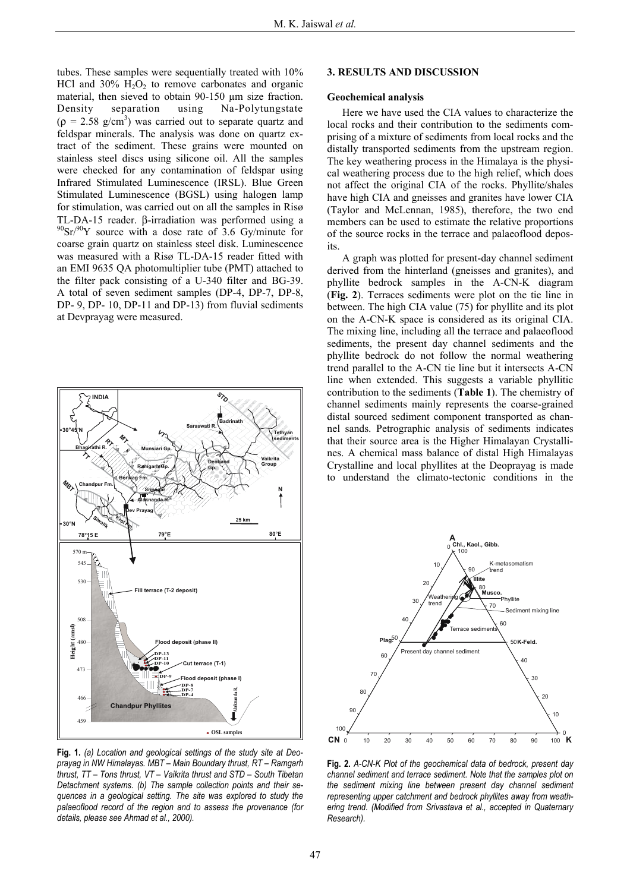tubes. These samples were sequentially treated with 10% HCl and  $30\%$  H<sub>2</sub>O<sub>2</sub> to remove carbonates and organic material, then sieved to obtain 90-150  $\mu$ m size fraction. Density separation using Na-Polytungstate  $(p = 2.58 \text{ g/cm}^3)$  was carried out to separate quartz and feldspar minerals. The analysis was done on quartz extract of the sediment. These grains were mounted on stainless steel discs using silicone oil. All the samples were checked for any contamination of feldspar using Infrared Stimulated Luminescence (IRSL). Blue Green Stimulated Luminescence (BGSL) using halogen lamp for stimulation, was carried out on all the samples in Risø TL-DA-15 reader. β-irradiation was performed using a  $^{90}Sr/^{90}Y$  source with a dose rate of 3.6 Gy/minute for coarse grain quartz on stainless steel disk. Luminescence was measured with a Risø TL-DA-15 reader fitted with an EMI 9635 QA photomultiplier tube (PMT) attached to the filter pack consisting of a U-340 filter and BG-39. A total of seven sediment samples (DP-4, DP-7, DP-8, DP- 9, DP- 10, DP-11 and DP-13) from fluvial sediments at Devprayag were measured.



**Fig. 1.** *(a) Location and geological settings of the study site at Deoprayag in NW Himalayas. MBT – Main Boundary thrust, RT – Ramgarh thrust, TT – Tons thrust, VT – Vaikrita thrust and STD – South Tibetan Detachment systems. (b) The sample collection points and their sequences in a geological setting. The site was explored to study the palaeoflood record of the region and to assess the provenance (for details, please see Ahmad et al., 2000).* 

## **3. RESULTS AND DISCUSSION**

#### **Geochemical analysis**

Here we have used the CIA values to characterize the local rocks and their contribution to the sediments comprising of a mixture of sediments from local rocks and the distally transported sediments from the upstream region. The key weathering process in the Himalaya is the physical weathering process due to the high relief, which does not affect the original CIA of the rocks. Phyllite/shales have high CIA and gneisses and granites have lower CIA (Taylor and McLennan, 1985), therefore, the two end members can be used to estimate the relative proportions of the source rocks in the terrace and palaeoflood deposits.

A graph was plotted for present-day channel sediment derived from the hinterland (gneisses and granites), and phyllite bedrock samples in the A-CN-K diagram (**Fig. 2**). Terraces sediments were plot on the tie line in between. The high CIA value (75) for phyllite and its plot on the A-CN-K space is considered as its original CIA. The mixing line, including all the terrace and palaeoflood sediments, the present day channel sediments and the phyllite bedrock do not follow the normal weathering trend parallel to the A-CN tie line but it intersects A-CN line when extended. This suggests a variable phyllitic contribution to the sediments (**Table 1**). The chemistry of channel sediments mainly represents the coarse-grained distal sourced sediment component transported as channel sands. Petrographic analysis of sediments indicates that their source area is the Higher Himalayan Crystallines. A chemical mass balance of distal High Himalayas Crystalline and local phyllites at the Deoprayag is made to understand the climato-tectonic conditions in the



**Fig. 2.** *A-CN-K Plot of the geochemical data of bedrock, present day channel sediment and terrace sediment. Note that the samples plot on the sediment mixing line between present day channel sediment representing upper catchment and bedrock phyllites away from weathering trend. (Modified from Srivastava et al., accepted in Quaternary Research).*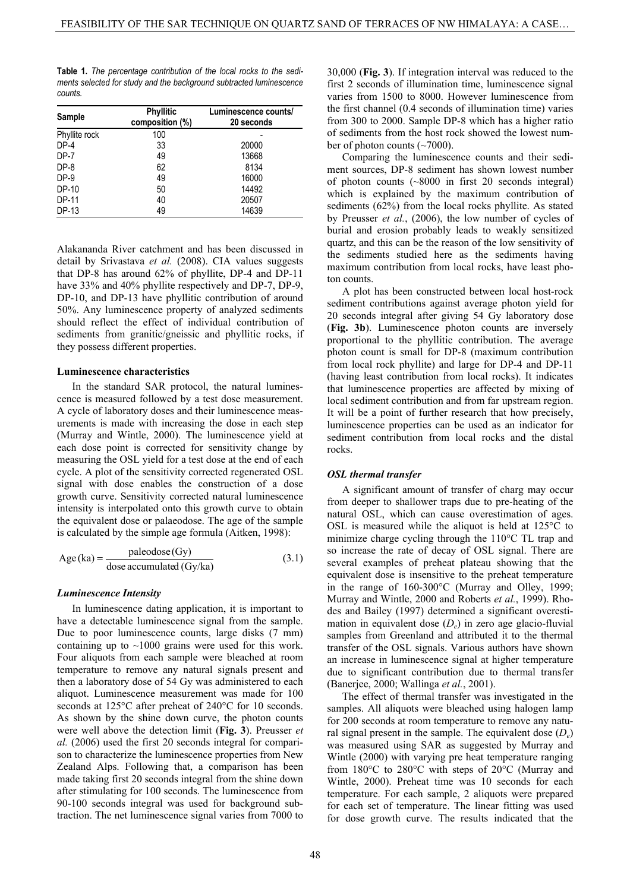**Table 1.** *The percentage contribution of the local rocks to the sediments selected for study and the background subtracted luminescence counts.* 

| Sample        | <b>Phyllitic</b><br>composition (%) | Luminescence counts/<br>20 seconds |
|---------------|-------------------------------------|------------------------------------|
| Phyllite rock | 100                                 |                                    |
| $DP-4$        | 33                                  | 20000                              |
| DP-7          | 49                                  | 13668                              |
| $DP-8$        | 62                                  | 8134                               |
| $DP-9$        | 49                                  | 16000                              |
| DP-10         | 50                                  | 14492                              |
| DP-11         | 40                                  | 20507                              |
| DP-13         | 49                                  | 14639                              |

Alakananda River catchment and has been discussed in detail by Srivastava *et al.* (2008). CIA values suggests that DP-8 has around 62% of phyllite, DP-4 and DP-11 have 33% and 40% phyllite respectively and DP-7, DP-9, DP-10, and DP-13 have phyllitic contribution of around 50%. Any luminescence property of analyzed sediments should reflect the effect of individual contribution of sediments from granitic/gneissic and phyllitic rocks, if they possess different properties.

#### **Luminescence characteristics**

In the standard SAR protocol, the natural luminescence is measured followed by a test dose measurement. A cycle of laboratory doses and their luminescence measurements is made with increasing the dose in each step (Murray and Wintle, 2000). The luminescence yield at each dose point is corrected for sensitivity change by measuring the OSL yield for a test dose at the end of each cycle. A plot of the sensitivity corrected regenerated OSL signal with dose enables the construction of a dose growth curve. Sensitivity corrected natural luminescence intensity is interpolated onto this growth curve to obtain the equivalent dose or palaeodose. The age of the sample is calculated by the simple age formula (Aitken, 1998):

$$
Age(ka) = \frac{ paleodose(Gy)}{dose accumulated(Gy/ka)}
$$
(3.1)

#### *Luminescence Intensity*

In luminescence dating application, it is important to have a detectable luminescence signal from the sample. Due to poor luminescence counts, large disks (7 mm) containing up to  $~1000$  grains were used for this work. Four aliquots from each sample were bleached at room temperature to remove any natural signals present and then a laboratory dose of 54 Gy was administered to each aliquot. Luminescence measurement was made for 100 seconds at 125°C after preheat of 240°C for 10 seconds. As shown by the shine down curve, the photon counts were well above the detection limit (**Fig. 3**). Preusser *et al.* (2006) used the first 20 seconds integral for comparison to characterize the luminescence properties from New Zealand Alps. Following that, a comparison has been made taking first 20 seconds integral from the shine down after stimulating for 100 seconds. The luminescence from 90-100 seconds integral was used for background subtraction. The net luminescence signal varies from 7000 to 30,000 (**Fig. 3**). If integration interval was reduced to the first 2 seconds of illumination time, luminescence signal varies from 1500 to 8000. However luminescence from the first channel (0.4 seconds of illumination time) varies from 300 to 2000. Sample DP-8 which has a higher ratio of sediments from the host rock showed the lowest number of photon counts  $(\sim 7000)$ .

Comparing the luminescence counts and their sediment sources, DP-8 sediment has shown lowest number of photon counts (~8000 in first 20 seconds integral) which is explained by the maximum contribution of sediments (62%) from the local rocks phyllite. As stated by Preusser *et al.*, (2006), the low number of cycles of burial and erosion probably leads to weakly sensitized quartz, and this can be the reason of the low sensitivity of the sediments studied here as the sediments having maximum contribution from local rocks, have least photon counts.

A plot has been constructed between local host-rock sediment contributions against average photon yield for 20 seconds integral after giving 54 Gy laboratory dose (**Fig. 3b**). Luminescence photon counts are inversely proportional to the phyllitic contribution. The average photon count is small for DP-8 (maximum contribution from local rock phyllite) and large for DP-4 and DP-11 (having least contribution from local rocks). It indicates that luminescence properties are affected by mixing of local sediment contribution and from far upstream region. It will be a point of further research that how precisely, luminescence properties can be used as an indicator for sediment contribution from local rocks and the distal rocks.

### *OSL thermal transfer*

A significant amount of transfer of charg may occur from deeper to shallower traps due to pre-heating of the natural OSL, which can cause overestimation of ages. OSL is measured while the aliquot is held at 125°C to minimize charge cycling through the 110°C TL trap and so increase the rate of decay of OSL signal. There are several examples of preheat plateau showing that the equivalent dose is insensitive to the preheat temperature in the range of 160-300°C (Murray and Olley, 1999; Murray and Wintle, 2000 and Roberts *et al.*, 1999). Rhodes and Bailey (1997) determined a significant overestimation in equivalent dose (*De*) in zero age glacio-fluvial samples from Greenland and attributed it to the thermal transfer of the OSL signals. Various authors have shown an increase in luminescence signal at higher temperature due to significant contribution due to thermal transfer (Banerjee, 2000; Wallinga *et al.*, 2001).

The effect of thermal transfer was investigated in the samples. All aliquots were bleached using halogen lamp for 200 seconds at room temperature to remove any natural signal present in the sample. The equivalent dose  $(D_e)$ was measured using SAR as suggested by Murray and Wintle (2000) with varying pre heat temperature ranging from 180°C to 280°C with steps of 20°C (Murray and Wintle, 2000). Preheat time was 10 seconds for each temperature. For each sample, 2 aliquots were prepared for each set of temperature. The linear fitting was used for dose growth curve. The results indicated that the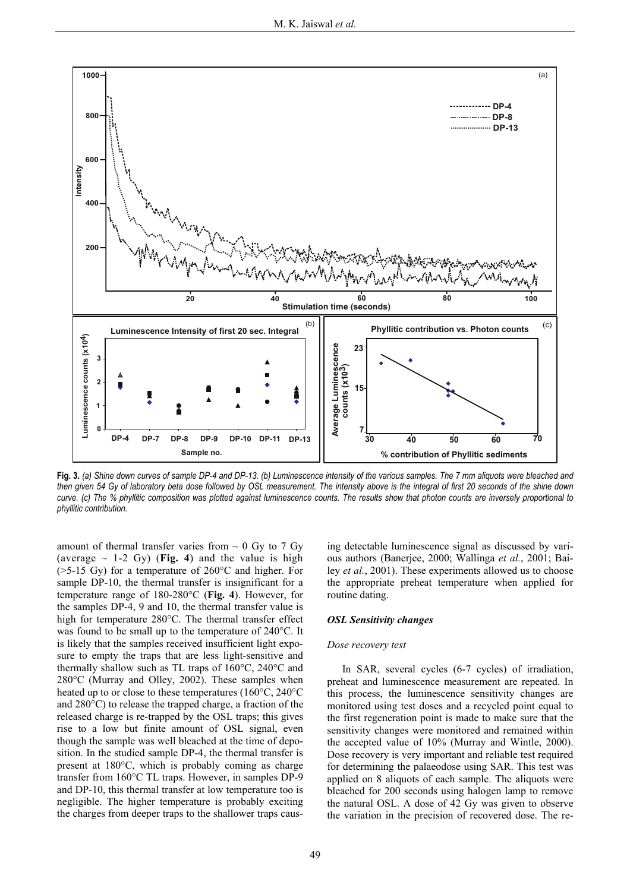

**Fig. 3.** *(a) Shine down curves of sample DP-4 and DP-13. (b) Luminescence intensity of the various samples. The 7 mm aliquots were bleached and then given 54 Gy of laboratory beta dose followed by OSL measurement. The intensity above is the integral of first 20 seconds of the shine down curve. (c) The % phyllitic composition was plotted against luminescence counts. The results show that photon counts are inversely proportional to phyllitic contribution.* 

amount of thermal transfer varies from  $\sim 0$  Gy to 7 Gy (average  $\sim$  1-2 Gy) (Fig. 4) and the value is high (>5-15 Gy) for a temperature of 260°C and higher. For sample DP-10, the thermal transfer is insignificant for a temperature range of 180-280°C (**Fig. 4**). However, for the samples DP-4, 9 and 10, the thermal transfer value is high for temperature 280°C. The thermal transfer effect was found to be small up to the temperature of 240°C. It is likely that the samples received insufficient light exposure to empty the traps that are less light-sensitive and thermally shallow such as TL traps of 160°C, 240°C and 280°C (Murray and Olley, 2002). These samples when heated up to or close to these temperatures (160°C, 240°C and 280°C) to release the trapped charge, a fraction of the released charge is re-trapped by the OSL traps; this gives rise to a low but finite amount of OSL signal, even though the sample was well bleached at the time of deposition. In the studied sample DP-4, the thermal transfer is present at 180°C, which is probably coming as charge transfer from 160°C TL traps. However, in samples DP-9 and DP-10, this thermal transfer at low temperature too is negligible. The higher temperature is probably exciting the charges from deeper traps to the shallower traps caus-

ing detectable luminescence signal as discussed by various authors (Banerjee, 2000; Wallinga *et al.*, 2001; Bailey *et al.*, 2001). These experiments allowed us to choose the appropriate preheat temperature when applied for routine dating.

## *OSL Sensitivity changes*

#### *Dose recovery test*

In SAR, several cycles (6-7 cycles) of irradiation, preheat and luminescence measurement are repeated. In this process, the luminescence sensitivity changes are monitored using test doses and a recycled point equal to the first regeneration point is made to make sure that the sensitivity changes were monitored and remained within the accepted value of 10% (Murray and Wintle, 2000). Dose recovery is very important and reliable test required for determining the palaeodose using SAR. This test was applied on 8 aliquots of each sample. The aliquots were bleached for 200 seconds using halogen lamp to remove the natural OSL. A dose of 42 Gy was given to observe the variation in the precision of recovered dose. The re-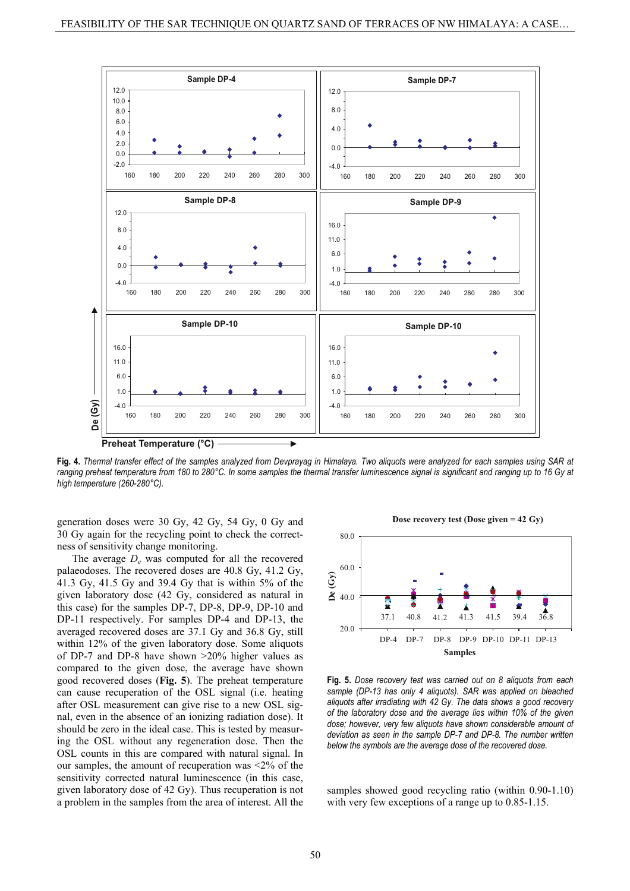

**Fig. 4.** *Thermal transfer effect of the samples analyzed from Devprayag in Himalaya. Two aliquots were analyzed for each samples using SAR at ranging preheat temperature from 180 to 280°C. In some samples the thermal transfer luminescence signal is significant and ranging up to 16 Gy at high temperature (260-280°C).* 

generation doses were 30 Gy, 42 Gy, 54 Gy, 0 Gy and 30 Gy again for the recycling point to check the correctness of sensitivity change monitoring.

The average  $D_e$  was computed for all the recovered palaeodoses. The recovered doses are 40.8 Gy, 41.2 Gy, 41.3 Gy, 41.5 Gy and 39.4 Gy that is within 5% of the given laboratory dose (42 Gy, considered as natural in this case) for the samples DP-7, DP-8, DP-9, DP-10 and DP-11 respectively. For samples DP-4 and DP-13, the averaged recovered doses are 37.1 Gy and 36.8 Gy, still within 12% of the given laboratory dose. Some aliquots of DP-7 and DP-8 have shown >20% higher values as compared to the given dose, the average have shown good recovered doses (**Fig. 5**). The preheat temperature can cause recuperation of the OSL signal (i.e. heating after OSL measurement can give rise to a new OSL signal, even in the absence of an ionizing radiation dose). It should be zero in the ideal case. This is tested by measuring the OSL without any regeneration dose. Then the OSL counts in this are compared with natural signal. In our samples, the amount of recuperation was <2% of the sensitivity corrected natural luminescence (in this case, given laboratory dose of 42 Gy). Thus recuperation is not a problem in the samples from the area of interest. All the





**Fig. 5.** *Dose recovery test was carried out on 8 aliquots from each sample (DP-13 has only 4 aliquots). SAR was applied on bleached aliquots after irradiating with 42 Gy. The data shows a good recovery of the laboratory dose and the average lies within 10% of the given dose; however, very few aliquots have shown considerable amount of deviation as seen in the sample DP-7 and DP-8. The number written below the symbols are the average dose of the recovered dose.*

samples showed good recycling ratio (within 0.90-1.10) with very few exceptions of a range up to  $0.85$ -1.15.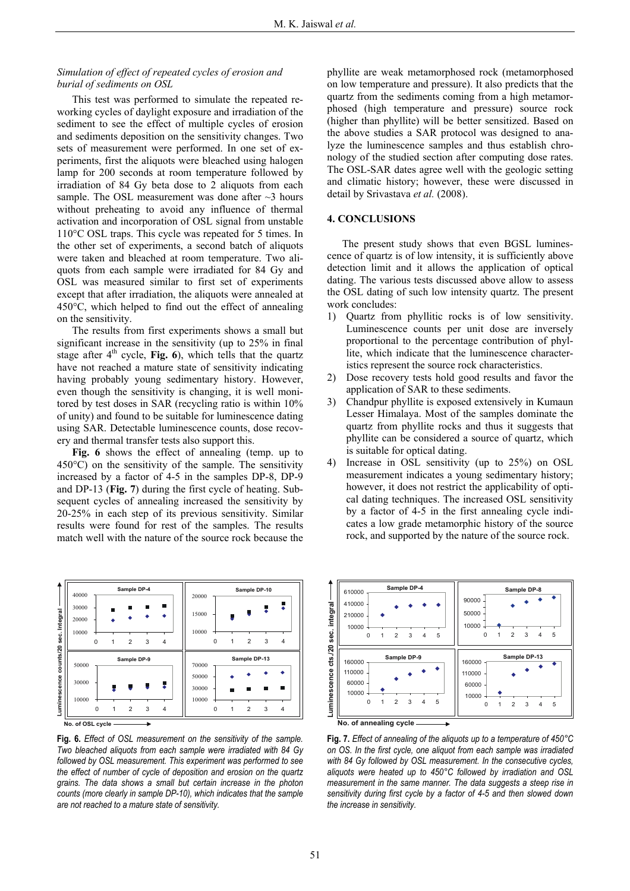## *Simulation of effect of repeated cycles of erosion and burial of sediments on OSL*

This test was performed to simulate the repeated reworking cycles of daylight exposure and irradiation of the sediment to see the effect of multiple cycles of erosion and sediments deposition on the sensitivity changes. Two sets of measurement were performed. In one set of experiments, first the aliquots were bleached using halogen lamp for 200 seconds at room temperature followed by irradiation of 84 Gy beta dose to 2 aliquots from each sample. The OSL measurement was done after  $\sim$ 3 hours without preheating to avoid any influence of thermal activation and incorporation of OSL signal from unstable 110°C OSL traps. This cycle was repeated for 5 times. In the other set of experiments, a second batch of aliquots were taken and bleached at room temperature. Two aliquots from each sample were irradiated for 84 Gy and OSL was measured similar to first set of experiments except that after irradiation, the aliquots were annealed at 450°C, which helped to find out the effect of annealing on the sensitivity.

The results from first experiments shows a small but significant increase in the sensitivity (up to 25% in final stage after  $4<sup>th</sup>$  cycle, **Fig. 6**), which tells that the quartz have not reached a mature state of sensitivity indicating having probably young sedimentary history. However, even though the sensitivity is changing, it is well monitored by test doses in SAR (recycling ratio is within 10% of unity) and found to be suitable for luminescence dating using SAR. Detectable luminescence counts, dose recovery and thermal transfer tests also support this.

**Fig. 6** shows the effect of annealing (temp. up to 450°C) on the sensitivity of the sample. The sensitivity increased by a factor of 4-5 in the samples DP-8, DP-9 and DP-13 (**Fig. 7**) during the first cycle of heating. Subsequent cycles of annealing increased the sensitivity by 20-25% in each step of its previous sensitivity. Similar results were found for rest of the samples. The results match well with the nature of the source rock because the



**Fig. 6.** *Effect of OSL measurement on the sensitivity of the sample. Two bleached aliquots from each sample were irradiated with 84 Gy followed by OSL measurement. This experiment was performed to see the effect of number of cycle of deposition and erosion on the quartz grains. The data shows a small but certain increase in the photon counts (more clearly in sample DP-10), which indicates that the sample are not reached to a mature state of sensitivity.* 

phyllite are weak metamorphosed rock (metamorphosed on low temperature and pressure). It also predicts that the quartz from the sediments coming from a high metamorphosed (high temperature and pressure) source rock (higher than phyllite) will be better sensitized. Based on the above studies a SAR protocol was designed to analyze the luminescence samples and thus establish chronology of the studied section after computing dose rates. The OSL-SAR dates agree well with the geologic setting and climatic history; however, these were discussed in detail by Srivastava *et al.* (2008).

#### **4. CONCLUSIONS**

The present study shows that even BGSL luminescence of quartz is of low intensity, it is sufficiently above detection limit and it allows the application of optical dating. The various tests discussed above allow to assess the OSL dating of such low intensity quartz. The present work concludes:

- 1) Quartz from phyllitic rocks is of low sensitivity. Luminescence counts per unit dose are inversely proportional to the percentage contribution of phyllite, which indicate that the luminescence characteristics represent the source rock characteristics.
- 2) Dose recovery tests hold good results and favor the application of SAR to these sediments.
- 3) Chandpur phyllite is exposed extensively in Kumaun Lesser Himalaya. Most of the samples dominate the quartz from phyllite rocks and thus it suggests that phyllite can be considered a source of quartz, which is suitable for optical dating.
- 4) Increase in OSL sensitivity (up to 25%) on OSL measurement indicates a young sedimentary history; however, it does not restrict the applicability of optical dating techniques. The increased OSL sensitivity by a factor of 4-5 in the first annealing cycle indicates a low grade metamorphic history of the source rock, and supported by the nature of the source rock.



**Fig. 7.** *Effect of annealing of the aliquots up to a temperature of 450°C on OS. In the first cycle, one aliquot from each sample was irradiated with 84 Gy followed by OSL measurement. In the consecutive cycles, aliquots were heated up to 450°C followed by irradiation and OSL measurement in the same manner. The data suggests a steep rise in sensitivity during first cycle by a factor of 4-5 and then slowed down the increase in sensitivity.*